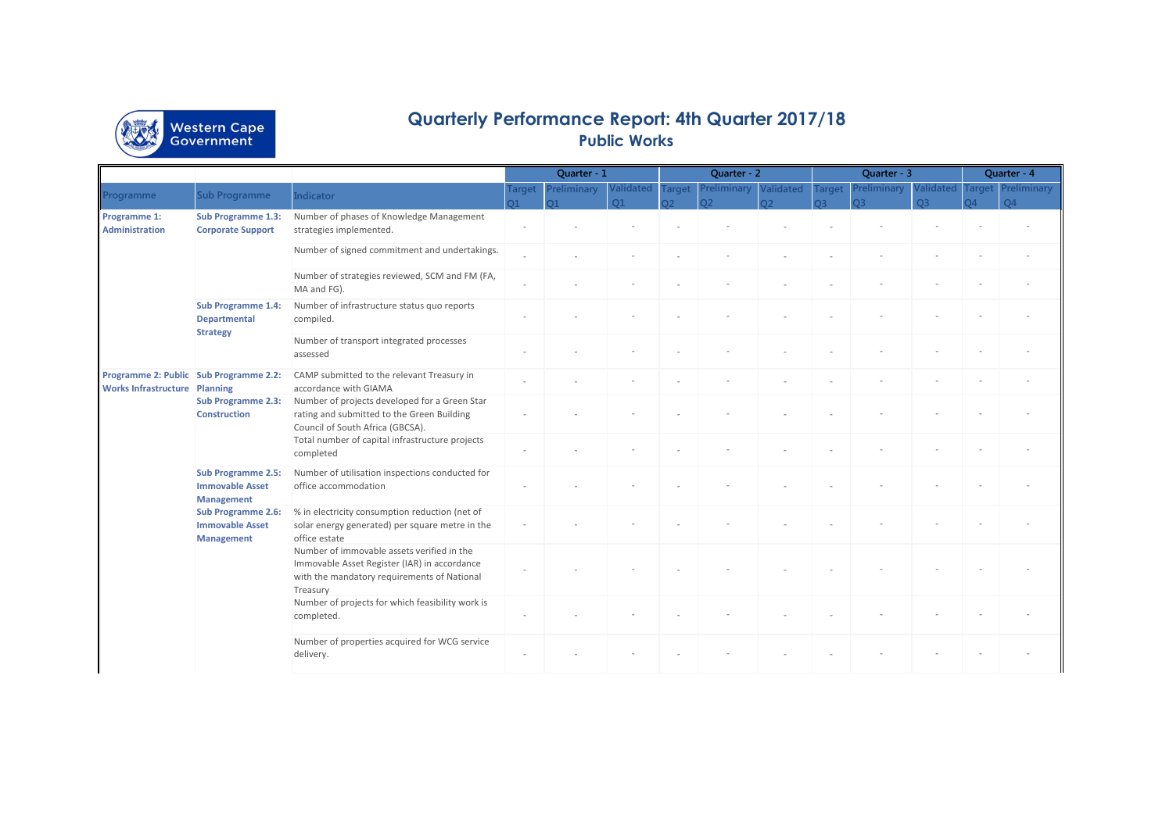

## **Quarterly Performance Report: 4th Quarter 2017/18 Public Works**

|                                                                                             |                                                                          |                                                                                                                                                       | Quarter - 1   |             |                | Quarter - 2   |             |                  | Quarter - 3   |             |                  | Quarter - 4   |                |
|---------------------------------------------------------------------------------------------|--------------------------------------------------------------------------|-------------------------------------------------------------------------------------------------------------------------------------------------------|---------------|-------------|----------------|---------------|-------------|------------------|---------------|-------------|------------------|---------------|----------------|
|                                                                                             | <b>Sub Programme</b>                                                     | <b>Indicator</b>                                                                                                                                      | <b>Target</b> | Preliminary | Validated      | <b>Target</b> | Preliminary | <b>Validated</b> | <b>Target</b> | Preliminary | <b>/alidated</b> | <b>Target</b> | Preliminary    |
|                                                                                             |                                                                          |                                                                                                                                                       |               |             | O <sub>1</sub> |               | ງາ          | าว               |               | O3          | O <sub>3</sub>   |               | $\overline{a}$ |
| Programme 1:<br><b>Administration</b>                                                       | <b>Sub Programme 1.3:</b><br><b>Corporate Support</b>                    | Number of phases of Knowledge Management<br>strategies implemented.                                                                                   |               |             |                |               |             |                  |               |             |                  |               |                |
|                                                                                             |                                                                          | Number of signed commitment and undertakings.                                                                                                         |               |             |                |               |             |                  |               |             |                  |               |                |
|                                                                                             |                                                                          | Number of strategies reviewed, SCM and FM (FA,<br>MA and FG).                                                                                         |               |             |                |               |             |                  |               |             |                  |               |                |
|                                                                                             | <b>Sub Programme 1.4:</b><br><b>Departmental</b><br><b>Strategy</b>      | Number of infrastructure status quo reports<br>compiled.                                                                                              |               |             |                |               |             |                  |               |             |                  |               |                |
|                                                                                             |                                                                          | Number of transport integrated processes<br>assessed                                                                                                  |               |             |                |               |             |                  |               |             |                  |               |                |
| Programme<br>Programme 2: Public Sub Programme 2.2:<br><b>Works Infrastructure Planning</b> |                                                                          | CAMP submitted to the relevant Treasury in<br>accordance with GIAMA                                                                                   |               |             |                |               |             |                  |               |             |                  |               |                |
|                                                                                             | <b>Sub Programme 2.3:</b><br><b>Construction</b>                         | Number of projects developed for a Green Star<br>rating and submitted to the Green Building<br>Council of South Africa (GBCSA).                       |               |             |                |               |             |                  |               |             |                  |               |                |
|                                                                                             |                                                                          | Total number of capital infrastructure projects<br>completed                                                                                          |               |             |                |               |             |                  |               |             |                  |               |                |
|                                                                                             | <b>Sub Programme 2.5:</b><br><b>Immovable Asset</b><br><b>Management</b> | Number of utilisation inspections conducted for<br>office accommodation                                                                               |               |             |                |               |             |                  |               |             |                  |               |                |
|                                                                                             | <b>Sub Programme 2.6:</b><br><b>Immovable Asset</b><br><b>Management</b> | % in electricity consumption reduction (net of<br>solar energy generated) per square metre in the<br>office estate                                    |               |             |                |               |             |                  |               |             |                  |               |                |
|                                                                                             |                                                                          | Number of immovable assets verified in the<br>Immovable Asset Register (IAR) in accordance<br>with the mandatory requirements of National<br>Treasury |               |             |                |               |             |                  |               |             |                  |               |                |
|                                                                                             |                                                                          | Number of projects for which feasibility work is<br>completed.                                                                                        |               |             |                |               |             |                  |               |             |                  |               |                |
|                                                                                             |                                                                          | Number of properties acquired for WCG service<br>delivery.                                                                                            |               |             |                |               |             |                  |               |             |                  |               |                |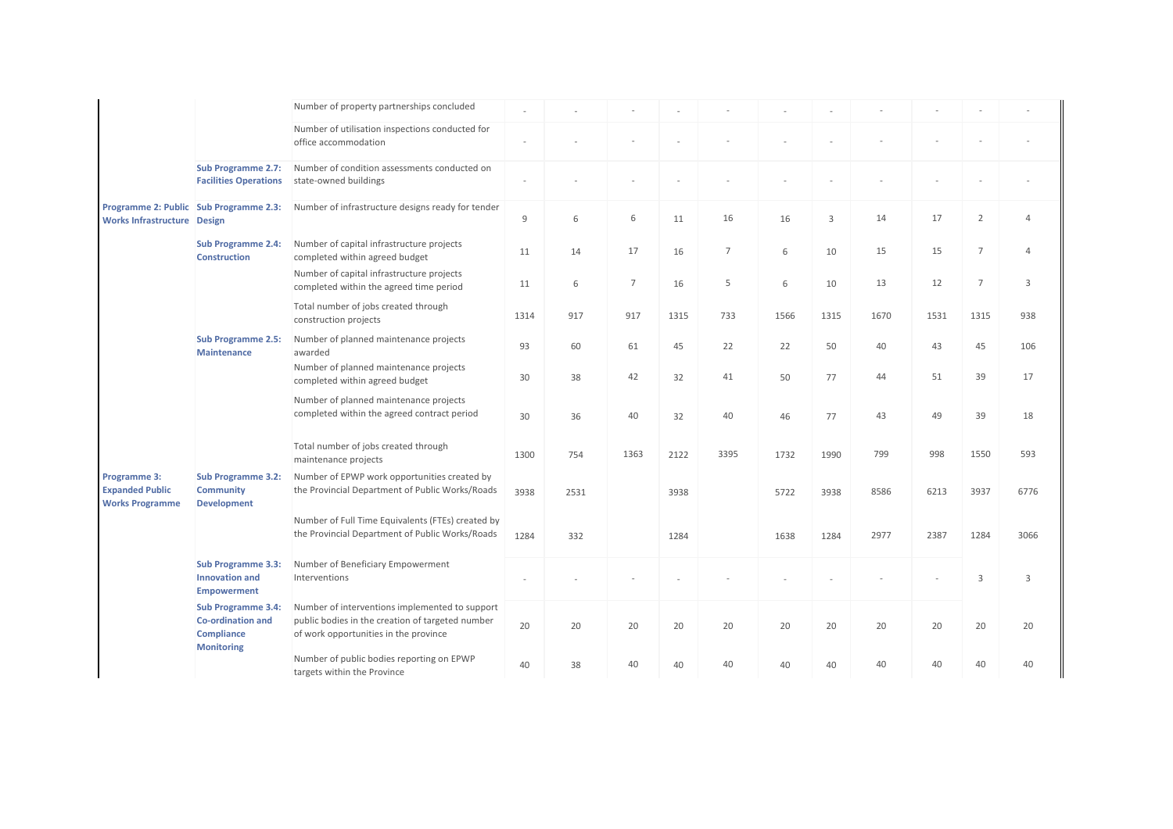|                                                                  |                                                                                                 | Number of property partnerships concluded                                                                                                   |      |      |                |      |      |      |      |      |      |                |          |
|------------------------------------------------------------------|-------------------------------------------------------------------------------------------------|---------------------------------------------------------------------------------------------------------------------------------------------|------|------|----------------|------|------|------|------|------|------|----------------|----------|
|                                                                  |                                                                                                 | Number of utilisation inspections conducted for<br>office accommodation                                                                     |      |      |                |      |      |      |      |      |      |                |          |
|                                                                  | <b>Sub Programme 2.7:</b><br><b>Facilities Operations</b>                                       | Number of condition assessments conducted on<br>state-owned buildings                                                                       |      |      |                |      |      |      |      |      |      |                |          |
| Works Infrastructure Design                                      | Programme 2: Public Sub Programme 2.3:                                                          | Number of infrastructure designs ready for tender                                                                                           | 9    | 6    | 6              | 11   | 16   | 16   | 3    | 14   | 17   | $\overline{2}$ | $\Delta$ |
|                                                                  | <b>Sub Programme 2.4:</b><br><b>Construction</b>                                                | Number of capital infrastructure projects<br>completed within agreed budget                                                                 | 11   | 14   | 17             | 16   | 7    | 6    | 10   | 15   | 15   | $\overline{7}$ | $\Delta$ |
|                                                                  |                                                                                                 | Number of capital infrastructure projects<br>completed within the agreed time period                                                        | 11   | 6    | $\overline{7}$ | 16   | 5    | 6    | 10   | 13   | 12   | $\overline{7}$ | 3        |
|                                                                  |                                                                                                 | Total number of jobs created through<br>construction projects                                                                               | 1314 | 917  | 917            | 1315 | 733  | 1566 | 1315 | 1670 | 1531 | 1315           | 938      |
|                                                                  | <b>Sub Programme 2.5:</b><br><b>Maintenance</b>                                                 | Number of planned maintenance projects<br>awarded                                                                                           | 93   | 60   | 61             | 45   | 22   | 22   | 50   | 40   | 43   | 45             | 106      |
|                                                                  |                                                                                                 | Number of planned maintenance projects<br>completed within agreed budget                                                                    | 30   | 38   | 42             | 32   | 41   | 50   | 77   | 44   | 51   | 39             | 17       |
|                                                                  |                                                                                                 | Number of planned maintenance projects<br>completed within the agreed contract period                                                       | 30   | 36   | 40             | 32   | 40   | 46   | 77   | 43   | 49   | 39             | 18       |
|                                                                  |                                                                                                 | Total number of jobs created through<br>maintenance projects                                                                                | 1300 | 754  | 1363           | 2122 | 3395 | 1732 | 1990 | 799  | 998  | 1550           | 593      |
| Programme 3:<br><b>Expanded Public</b><br><b>Works Programme</b> | <b>Sub Programme 3.2:</b><br><b>Community</b><br><b>Development</b>                             | Number of EPWP work opportunities created by<br>the Provincial Department of Public Works/Roads                                             | 3938 | 2531 |                | 3938 |      | 5722 | 3938 | 8586 | 6213 | 3937           | 6776     |
|                                                                  |                                                                                                 | Number of Full Time Equivalents (FTEs) created by<br>the Provincial Department of Public Works/Roads                                        | 1284 | 332  |                | 1284 |      | 1638 | 1284 | 2977 | 2387 | 1284           | 3066     |
|                                                                  | <b>Sub Programme 3.3:</b><br><b>Innovation and</b><br><b>Empowerment</b>                        | Number of Beneficiary Empowerment<br>Interventions                                                                                          |      |      |                |      |      |      |      |      |      | $\overline{3}$ | 3        |
|                                                                  | <b>Sub Programme 3.4:</b><br><b>Co-ordination and</b><br><b>Compliance</b><br><b>Monitoring</b> | Number of interventions implemented to support<br>public bodies in the creation of targeted number<br>of work opportunities in the province | 20   | 20   | 20             | 20   | 20   | 20   | 20   | 20   | 20   | 20             | 20       |
|                                                                  |                                                                                                 | Number of public bodies reporting on EPWP<br>targets within the Province                                                                    | 40   | 38   | 40             | 40   | 40   | 40   | 40   | 40   | 40   | 40             | 40       |